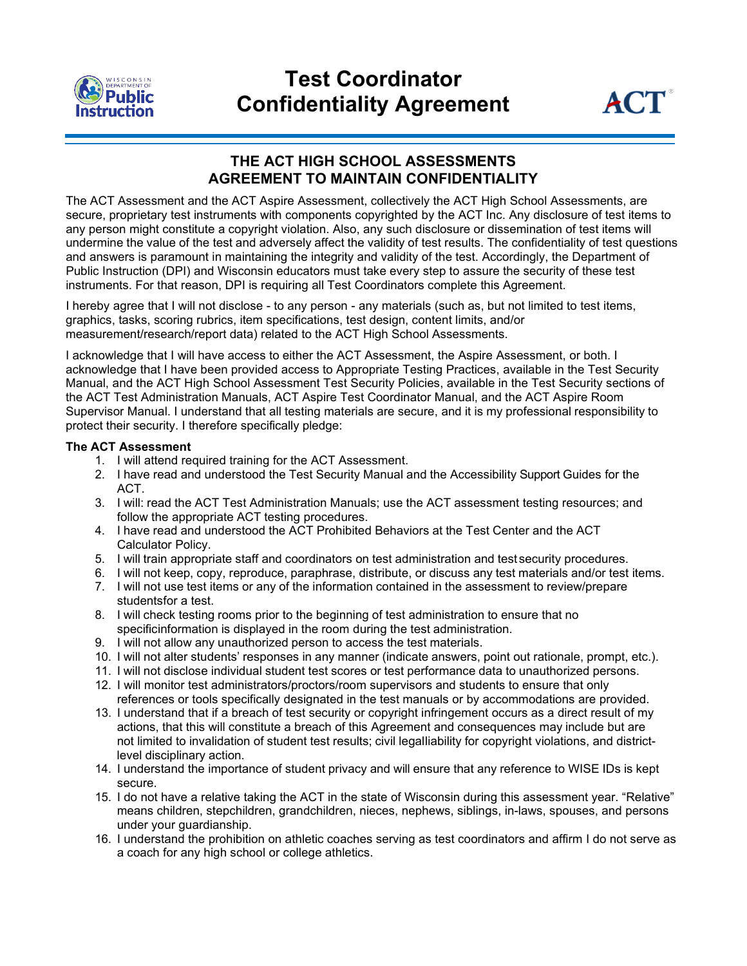



# **THE ACT HIGH SCHOOL ASSESSMENTS AGREEMENT TO MAINTAIN CONFIDENTIALITY**

The ACT Assessment and the ACT Aspire Assessment, collectively the ACT High School Assessments, are secure, proprietary test instruments with components copyrighted by the ACT Inc. Any disclosure of test items to any person might constitute a copyright violation. Also, any such disclosure or dissemination of test items will undermine the value of the test and adversely affect the validity of test results. The confidentiality of test questions and answers is paramount in maintaining the integrity and validity of the test. Accordingly, the Department of Public Instruction (DPI) and Wisconsin educators must take every step to assure the security of these test instruments. For that reason, DPI is requiring all Test Coordinators complete this Agreement.

I hereby agree that I will not disclose - to any person - any materials (such as, but not limited to test items, graphics, tasks, scoring rubrics, item specifications, test design, content limits, and/or measurement/research/report data) related to the ACT High School Assessments.

I acknowledge that I will have access to either the ACT Assessment, the Aspire Assessment, or both. I acknowledge that I have been provided access to Appropriate Testing Practices, available in the Test Security Manual, and the ACT High School Assessment Test Security Policies, available in the Test Security sections of the ACT Test Administration Manuals, ACT Aspire Test Coordinator Manual, and the ACT Aspire Room Supervisor Manual. I understand that all testing materials are secure, and it is my professional responsibility to protect their security. I therefore specifically pledge:

## **The ACT Assessment**

- 1. I will attend required training for the ACT Assessment.
- 2. I have read and understood the Test Security Manual and the Accessibility Support Guides for the ACT.
- 3. I will: read the ACT Test Administration Manuals; use the ACT assessment testing resources; and follow the appropriate ACT testing procedures.
- 4. I have read and understood the ACT Prohibited Behaviors at the Test Center and the ACT Calculator Policy.
- 5. I will train appropriate staff and coordinators on test administration and test security procedures.
- 6. I will not keep, copy, reproduce, paraphrase, distribute, or discuss any test materials and/or test items.
- 7. I will not use test items or any of the information contained in the assessment to review/prepare studentsfor a test.
- 8. I will check testing rooms prior to the beginning of test administration to ensure that no specificinformation is displayed in the room during the test administration.
- 9. I will not allow any unauthorized person to access the test materials.
- 10. I will not alter students' responses in any manner (indicate answers, point out rationale, prompt, etc.).
- 11. I will not disclose individual student test scores or test performance data to unauthorized persons.
- 12. I will monitor test administrators/proctors/room supervisors and students to ensure that only references or tools specifically designated in the test manuals or by accommodations are provided.
- 13. I understand that if a breach of test security or copyright infringement occurs as a direct result of my actions, that this will constitute a breach of this Agreement and consequences may include but are not limited to invalidation of student test results; civil legalliability for copyright violations, and districtlevel disciplinary action.
- 14. I understand the importance of student privacy and will ensure that any reference to WISE IDs is kept secure.
- 15. I do not have a relative taking the ACT in the state of Wisconsin during this assessment year. "Relative" means children, stepchildren, grandchildren, nieces, nephews, siblings, in-laws, spouses, and persons under your guardianship.
- 16. I understand the prohibition on athletic coaches serving as test coordinators and affirm I do not serve as a coach for any high school or college athletics.